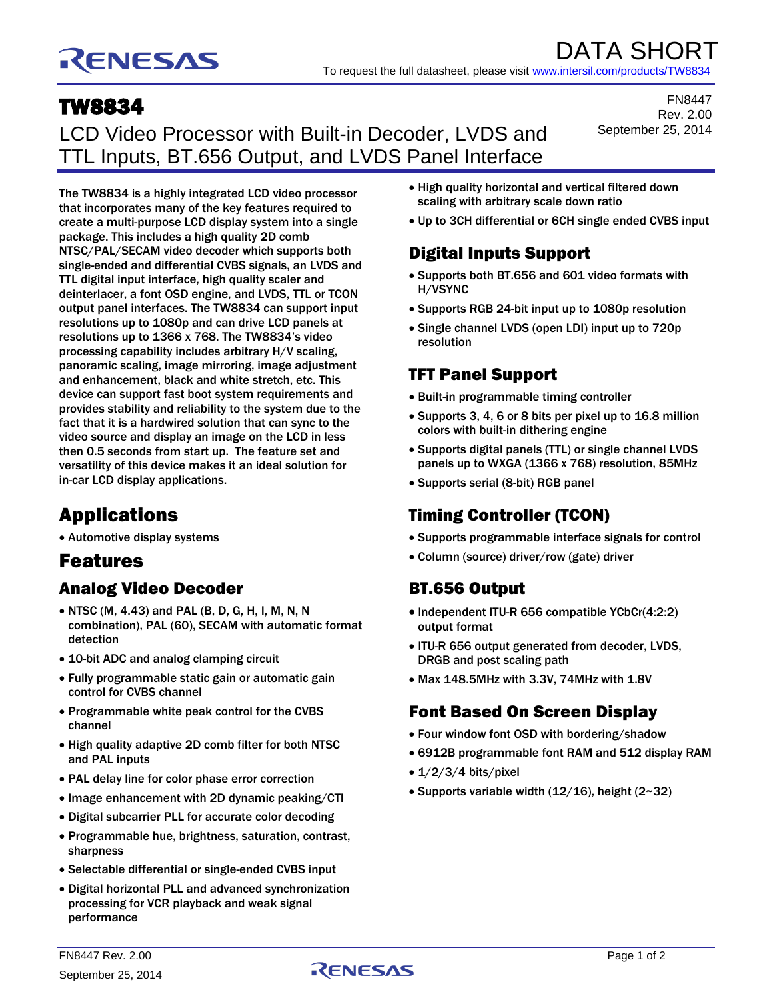# RENESAS

DATA SHORT To request the full datasheet, please visit [www.intersil.com/products/TW8834](http://www.intersil.com/products/TW8834)

## TW8834

LCD Video Processor with Built-in Decoder, LVDS and TTL Inputs, BT.656 Output, and LVDS Panel Interface

FN8447 Rev. 2.00 September 25, 2014

The TW8834 is a highly integrated LCD video processor that incorporates many of the key features required to create a multi-purpose LCD display system into a single package. This includes a high quality 2D comb NTSC/PAL/SECAM video decoder which supports both single-ended and differential CVBS signals, an LVDS and TTL digital input interface, high quality scaler and deinterlacer, a font OSD engine, and LVDS, TTL or TCON output panel interfaces. The TW8834 can support input resolutions up to 1080p and can drive LCD panels at resolutions up to 1366 x 768. The TW8834's video processing capability includes arbitrary H/V scaling, panoramic scaling, image mirroring, image adjustment and enhancement, black and white stretch, etc. This device can support fast boot system requirements and provides stability and reliability to the system due to the fact that it is a hardwired solution that can sync to the video source and display an image on the LCD in less then 0.5 seconds from start up. The feature set and versatility of this device makes it an ideal solution for in-car LCD display applications.

## Applications

Automotive display systems

## Features

### Analog Video Decoder

- NTSC (M, 4.43) and PAL (B, D, G, H, I, M, N, N combination), PAL (60), SECAM with automatic format detection
- 10-bit ADC and analog clamping circuit
- Fully programmable static gain or automatic gain control for CVBS channel
- Programmable white peak control for the CVBS channel
- High quality adaptive 2D comb filter for both NTSC and PAL inputs
- PAL delay line for color phase error correction
- Image enhancement with 2D dynamic peaking/CTI
- Digital subcarrier PLL for accurate color decoding
- Programmable hue, brightness, saturation, contrast, sharpness
- Selectable differential or single-ended CVBS input
- Digital horizontal PLL and advanced synchronization processing for VCR playback and weak signal performance
- High quality horizontal and vertical filtered down scaling with arbitrary scale down ratio
- Up to 3CH differential or 6CH single ended CVBS input

### Digital Inputs Support

- Supports both BT.656 and 601 video formats with H/VSYNC
- Supports RGB 24-bit input up to 1080p resolution
- Single channel LVDS (open LDI) input up to 720p resolution

#### TFT Panel Support

- Built-in programmable timing controller
- Supports 3, 4, 6 or 8 bits per pixel up to 16.8 million colors with built-in dithering engine
- Supports digital panels (TTL) or single channel LVDS panels up to WXGA (1366 x 768) resolution, 85MHz
- Supports serial (8-bit) RGB panel

## Timing Controller (TCON)

- Supports programmable interface signals for control
- Column (source) driver/row (gate) driver

#### BT.656 Output

- Independent ITU-R 656 compatible YCbCr(4:2:2) output format
- ITU-R 656 output generated from decoder, LVDS, DRGB and post scaling path
- Max 148.5MHz with 3.3V, 74MHz with 1.8V

#### Font Based On Screen Display

- Four window font OSD with bordering/shadow
- 6912B programmable font RAM and 512 display RAM
- $\bullet$  1/2/3/4 bits/pixel
- Supports variable width  $(12/16)$ , height  $(2~32)$